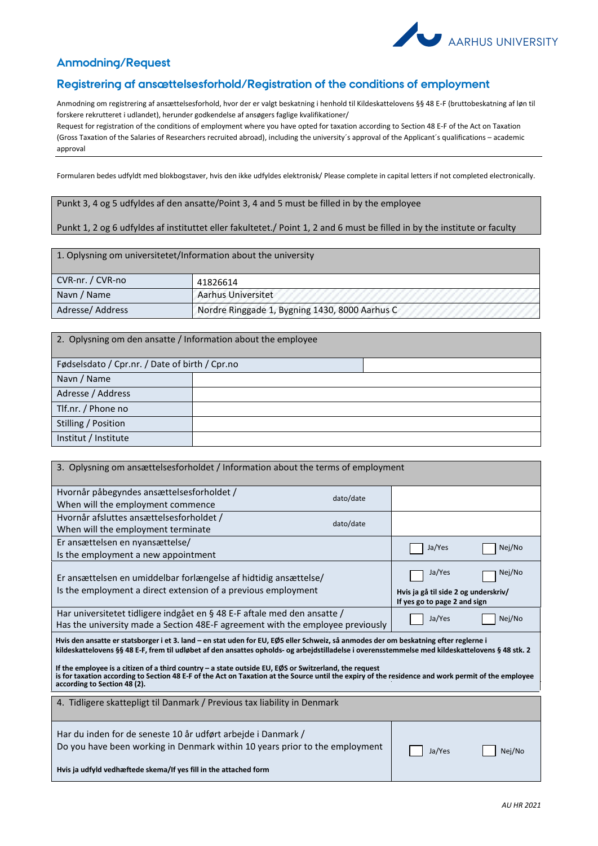

## **Anmodning/Request**

## **Registrering af ansættelsesforhold/Registration of the conditions of employment**

Anmodning om registrering af ansættelsesforhold, hvor der er valgt beskatning i henhold til Kildeskattelovens §§ 48 E-F (bruttobeskatning af løn til forskere rekrutteret i udlandet), herunder godkendelse af ansøgers faglige kvalifikationer/

Request for registration of the conditions of employment where you have opted for taxation according to Section 48 E-F of the Act on Taxation (Gross Taxation of the Salaries of Researchers recruited abroad), including the university´s approval of the Applicant´s qualifications – academic approval

Formularen bedes udfyldt med blokbogstaver, hvis den ikke udfyldes elektronisk/ Please complete in capital letters if not completed electronically.

Punkt 3, 4 og 5 udfyldes af den ansatte/Point 3, 4 and 5 must be filled in by the employee

## Punkt 1, 2 og 6 udfyldes af instituttet eller fakultetet./ Point 1, 2 and 6 must be filled in by the institute or faculty

| 1. Oplysning om universitetet/Information about the university |                                                |  |  |
|----------------------------------------------------------------|------------------------------------------------|--|--|
| CVR-nr. / CVR-no                                               | 41826614                                       |  |  |
| Navn / Name                                                    | <b>Aarhus Universitet</b>                      |  |  |
| Adresse/Address                                                | Nordre Ringgade 1, Bygning 1430, 8000 Aarhus C |  |  |

2. Oplysning om den ansatte / Information about the employee Fødselsdato / Cpr.nr. / Date of birth / Cpr.no Navn / Name Adresse / Address Tlf.nr. / Phone no Stilling / Position Institut / Institute

| 3. Oplysning om ansættelsesforholdet / Information about the terms of employment                                                                                                                                                                                                                                                                                                                                                                                                                                                                        |           |                                                                                |        |  |  |
|---------------------------------------------------------------------------------------------------------------------------------------------------------------------------------------------------------------------------------------------------------------------------------------------------------------------------------------------------------------------------------------------------------------------------------------------------------------------------------------------------------------------------------------------------------|-----------|--------------------------------------------------------------------------------|--------|--|--|
| Hvornår påbegyndes ansættelsesforholdet /                                                                                                                                                                                                                                                                                                                                                                                                                                                                                                               | dato/date |                                                                                |        |  |  |
| When will the employment commence                                                                                                                                                                                                                                                                                                                                                                                                                                                                                                                       |           |                                                                                |        |  |  |
| Hvornår afsluttes ansættelsesforholdet /                                                                                                                                                                                                                                                                                                                                                                                                                                                                                                                | dato/date |                                                                                |        |  |  |
| When will the employment terminate                                                                                                                                                                                                                                                                                                                                                                                                                                                                                                                      |           |                                                                                |        |  |  |
| Er ansættelsen en nyansættelse/                                                                                                                                                                                                                                                                                                                                                                                                                                                                                                                         |           | Ja/Yes                                                                         | Nej/No |  |  |
| Is the employment a new appointment                                                                                                                                                                                                                                                                                                                                                                                                                                                                                                                     |           |                                                                                |        |  |  |
| Er ansættelsen en umiddelbar forlængelse af hidtidig ansættelse/<br>Is the employment a direct extension of a previous employment                                                                                                                                                                                                                                                                                                                                                                                                                       |           | Ja/Yes<br>Hvis ja gå til side 2 og underskriv/<br>If yes go to page 2 and sign | Nej/No |  |  |
| Har universitetet tidligere indgået en § 48 E-F aftale med den ansatte /<br>Has the university made a Section 48E-F agreement with the employee previously                                                                                                                                                                                                                                                                                                                                                                                              | Ja/Yes    | Nej/No                                                                         |        |  |  |
| Hvis den ansatte er statsborger i et 3. land – en stat uden for EU, EØS eller Schweiz, så anmodes der om beskatning efter reglerne i<br>kildeskattelovens §§ 48 E-F, frem til udløbet af den ansattes opholds- og arbejdstilladelse i overensstemmelse med kildeskattelovens § 48 stk. 2<br>If the employee is a citizen of a third country – a state outside EU, EØS or Switzerland, the request<br>is for taxation according to Section 48 E-F of the Act on Taxation at the Source until the expiry of the residence and work permit of the employee |           |                                                                                |        |  |  |
| according to Section 48 (2).                                                                                                                                                                                                                                                                                                                                                                                                                                                                                                                            |           |                                                                                |        |  |  |
| 4. Tidligere skattepligt til Danmark / Previous tax liability in Denmark                                                                                                                                                                                                                                                                                                                                                                                                                                                                                |           |                                                                                |        |  |  |
| Har du inden for de seneste 10 år udført arbejde i Danmark /<br>Do you have been working in Denmark within 10 years prior to the employment                                                                                                                                                                                                                                                                                                                                                                                                             |           | Ja/Yes                                                                         | Nej/No |  |  |
| Hvis ja udfyld vedhæftede skema/If yes fill in the attached form                                                                                                                                                                                                                                                                                                                                                                                                                                                                                        |           |                                                                                |        |  |  |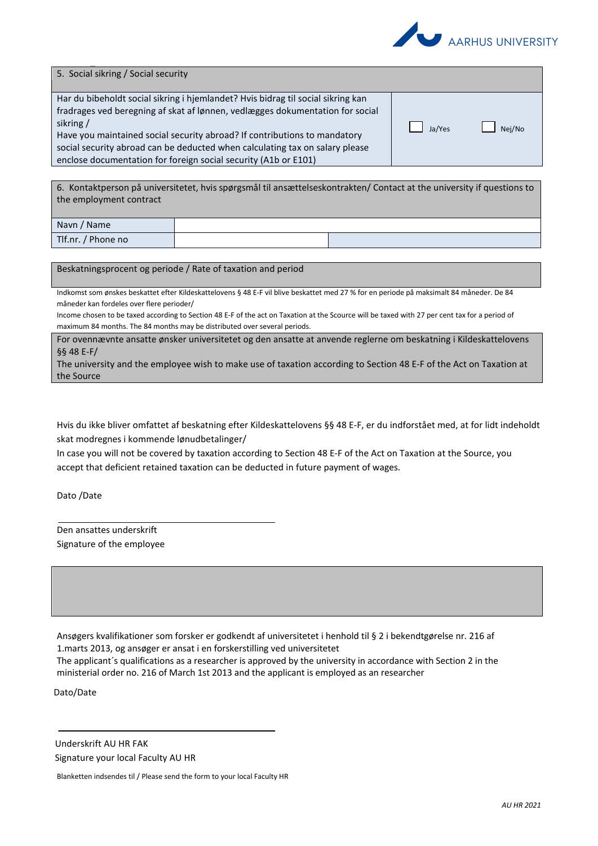

| 5. Social sikring / Social security                                                                                                                                                                                                                                                                                                                                                                           |        |        |
|---------------------------------------------------------------------------------------------------------------------------------------------------------------------------------------------------------------------------------------------------------------------------------------------------------------------------------------------------------------------------------------------------------------|--------|--------|
| Har du bibeholdt social sikring i hjemlandet? Hvis bidrag til social sikring kan<br>fradrages ved beregning af skat af lønnen, vedlægges dokumentation for social<br>sikring/<br>Have you maintained social security abroad? If contributions to mandatory<br>social security abroad can be deducted when calculating tax on salary please<br>enclose documentation for foreign social security (A1b or E101) | Ja/Yes | Nei/No |

6. Kontaktperson på universitetet, hvis spørgsmål til ansættelseskontrakten/ Contact at the university if questions to the employment contract

| Navn /<br>' Name           |  |
|----------------------------|--|
| $T$ If.nr. /<br>' Phone no |  |

Beskatningsprocent og periode / Rate of taxation and period

Indkomst som ønskes beskattet efter Kildeskattelovens § 48 E-F vil blive beskattet med 27 % for en periode på maksimalt 84 måneder. De 84 måneder kan fordeles over flere perioder/

Income chosen to be taxed according to Section 48 E-F of the act on Taxation at the Scource will be taxed with 27 per cent tax for a period of maximum 84 months. The 84 months may be distributed over several periods.

For ovennævnte ansatte ønsker universitetet og den ansatte at anvende reglerne om beskatning i Kildeskattelovens §§ 48 E-F/

The university and the employee wish to make use of taxation according to Section 48 E-F of the Act on Taxation at the Source

Hvis du ikke bliver omfattet af beskatning efter Kildeskattelovens §§ 48 E-F, er du indforstået med, at for lidt indeholdt skat modregnes i kommende lønudbetalinger/

In case you will not be covered by taxation according to Section 48 E-F of the Act on Taxation at the Source, you accept that deficient retained taxation can be deducted in future payment of wages.

Dato /Date

Den ansattes underskrift Signature of the employee

Ansøgers kvalifikationer som forsker er godkendt af universitetet i henhold til § 2 i bekendtgørelse nr. 216 af 1.marts 2013, og ansøger er ansat i en forskerstilling ved universitetet

The applicant´s qualifications as a researcher is approved by the university in accordance with Section 2 in the ministerial order no. 216 of March 1st 2013 and the applicant is employed as an researcher

Dato/Date

Underskrift AU HR FAK Signature your local Faculty AU HR

Blanketten indsendes til / Please send the form to your local Faculty HR